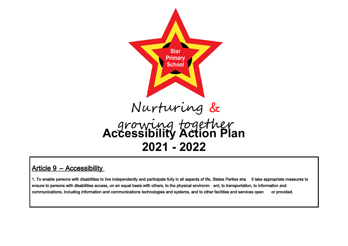

# Article 9 - Accessibility

1. To enable persons with disabilities to live independently and participate fully in all aspects of life, States Parties sha ll take appropriate measures to ensure to persons with disabilities access, on an equal basis with others, to the physical environm ent, to transportation, to information and communications, including information and communications technologies and systems, and to other facilities and services open or provided.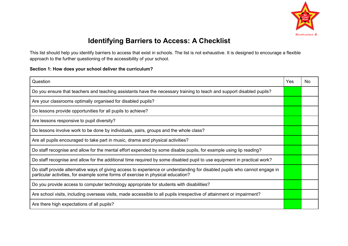

# **Identifying Barriers to Access: A Checklist**

This list should help you identify barriers to access that exist in schools. The list is not exhaustive. It is designed to encourage a flexible approach to the further questioning of the accessibility of your school.

### **Section 1: How does your school deliver the curriculum?**

| Question                                                                                                                                                                                                       | Yes | No |
|----------------------------------------------------------------------------------------------------------------------------------------------------------------------------------------------------------------|-----|----|
| Do you ensure that teachers and teaching assistants have the necessary training to teach and support disabled pupils?                                                                                          |     |    |
| Are your classrooms optimally organised for disabled pupils?                                                                                                                                                   |     |    |
| Do lessons provide opportunities for all pupils to achieve?                                                                                                                                                    |     |    |
| Are lessons responsive to pupil diversity?                                                                                                                                                                     |     |    |
| Do lessons involve work to be done by individuals, pairs, groups and the whole class?                                                                                                                          |     |    |
| Are all pupils encouraged to take part in music, drama and physical activities?                                                                                                                                |     |    |
| Do staff recognise and allow for the mental effort expended by some disable pupils, for example using lip reading?                                                                                             |     |    |
| Do staff recognise and allow for the additional time required by some disabled pupil to use equipment in practical work?                                                                                       |     |    |
| Do staff provide alternative ways of giving access to experience or understanding for disabled pupils who cannot engage in<br>particular activities, for example some forms of exercise in physical education? |     |    |
| Do you provide access to computer technology appropriate for students with disabilities?                                                                                                                       |     |    |
| Are school visits, including overseas visits, made accessible to all pupils irrespective of attainment or impairment?                                                                                          |     |    |
| Are there high expectations of all pupils?                                                                                                                                                                     |     |    |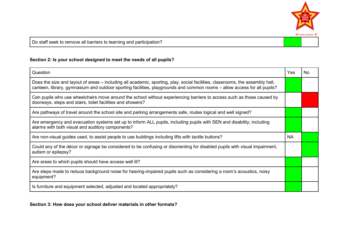

Do staff seek to remove all barriers to learning and participation?

## **Section 2: Is your school designed to meet the needs of all pupils?**

| Question                                                                                                                                                                                                                                                  | Yes | No. |
|-----------------------------------------------------------------------------------------------------------------------------------------------------------------------------------------------------------------------------------------------------------|-----|-----|
| Does the size and layout of areas – including all academic, sporting, play, social facilities, classrooms, the assembly hall,<br>canteen, library, gymnasium and outdoor sporting facilities, playgrounds and common rooms - allow access for all pupils? |     |     |
| Can pupils who use wheelchairs move around the school without experiencing barriers to access such as those caused by<br>doorways, steps and stairs, toilet facilities and showers?                                                                       |     |     |
| Are pathways of travel around the school site and parking arrangements safe, routes logical and well signed?                                                                                                                                              |     |     |
| Are emergency and evacuation systems set up to inform ALL pupils, including pupils with SEN and disability; including<br>alarms with both visual and auditory components?                                                                                 |     |     |
| Are non-visual guides used, to assist people to use buildings including lifts with tactile buttons?                                                                                                                                                       | NA  |     |
| Could any of the décor or signage be considered to be confusing or disorienting for disabled pupils with visual impairment,<br>autism or epilepsy?                                                                                                        |     |     |
| Are areas to which pupils should have access well lit?                                                                                                                                                                                                    |     |     |
| Are steps made to reduce background noise for hearing-impaired pupils such as considering a room's acoustics, noisy<br>equipment?                                                                                                                         |     |     |
| Is furniture and equipment selected, adjusted and located appropriately?                                                                                                                                                                                  |     |     |

**Section 3: How does your school deliver materials in other formats?**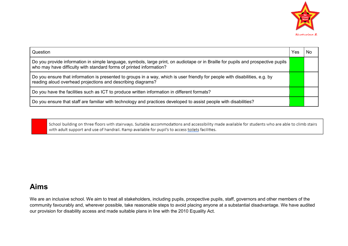

| Question                                                                                                                                                                                                 | Yes | Nο |
|----------------------------------------------------------------------------------------------------------------------------------------------------------------------------------------------------------|-----|----|
| Do you provide information in simple language, symbols, large print, on audiotape or in Braille for pupils and prospective pupils<br>who may have difficulty with standard forms of printed information? |     |    |
| Do you ensure that information is presented to groups in a way, which is user friendly for people with disabilities, e.g. by<br>reading aloud overhead projections and describing diagrams?              |     |    |
| Do you have the facilities such as ICT to produce written information in different formats?                                                                                                              |     |    |
| Do you ensure that staff are familiar with technology and practices developed to assist people with disabilities?                                                                                        |     |    |

School building on three floors with stairways. Suitable accommodations and accessibility made available for students who are able to climb stairs with adult support and use of handrail. Ramp available for pupil's to access toilets facilities.

# **Aims**

We are an inclusive school. We aim to treat all stakeholders, including pupils, prospective pupils, staff, governors and other members of the community favourably and, wherever possible, take reasonable steps to avoid placing anyone at a substantial disadvantage. We have audited our provision for disability access and made suitable plans in line with the 2010 Equality Act.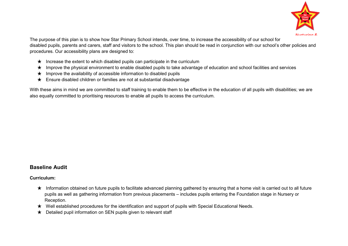

The purpose of this plan is to show how Star Primary School intends, over time, to increase the accessibility of our school for disabled pupils, parents and carers, staff and visitors to the school. This plan should be read in conjunction with our school's other policies and procedures. Our accessibility plans are designed to:

- $\star$  Increase the extent to which disabled pupils can participate in the curriculum
- ★ Improve the physical environment to enable disabled pupils to take advantage of education and school facilities and services
- $\star$  Improve the availability of accessible information to disabled pupils
- ★ Ensure disabled children or families are not at substantial disadvantage

With these aims in mind we are committed to staff training to enable them to be effective in the education of all pupils with disabilities; we are also equally committed to prioritising resources to enable all pupils to access the curriculum.

## **Baseline Audit**

**Curriculum:**

- ★ Information obtained on future pupils to facilitate advanced planning gathered by ensuring that a home visit is carried out to all future pupils as well as gathering information from previous placements – includes pupils entering the Foundation stage in Nursery or Reception.
- ★ Well established procedures for the identification and support of pupils with Special Educational Needs.
- ★ Detailed pupil information on SEN pupils given to relevant staff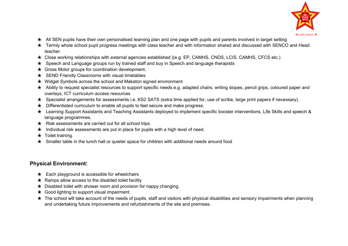

- $\star$  All SEN pupils have their own personalised learning plan and one page with pupils and parents involved in target setting
- ★ Termly whole school pupil progress meetings with class teacher and with information shared and discussed with SENCO and Head teacher.
- ★ Close working relationships with external agencies established |(e.g. EP, CAMHS, CNDS, LCIS, CAMHS, CFCS etc.)
- ★ Speech and Language groups run by trained staff and buy in Speech and language therapists
- $\star$  Gross Motor groups for coordination development.
- ★ SEND Friendly Classrooms with visual timetables
- ★ Widget Symbols across the school and Makaton signed environment
- ★ Ability to request specialist resources to support specific needs e.g. adapted chairs, writing slopes, pencil grips, coloured paper and overlays, ICT curriculum access resources
- ★ Specialist arrangements for assessments i.e. KS2 SATS (extra time applied for, use of scribe, large print papers if necessary).
- ★ Differentiated curriculum to enable all pupils to feel secure and make progress.
- ★ Learning Support Assistants and Teaching Assistants deployed to implement specific booster interventions, Life Skills and speech & language programmes.
- ★ Risk assessments are carried out for all school trips.
- $\star$  Individual risk assessments are put in place for pupils with a high level of need.
- $\star$  Toilet training.
- ★ Smaller table in the lunch hall or quieter space for children with additional needs around food

## **Physical Environment:**

- $\star$  Each playground is accessible for wheelchairs
- $\star$  Ramps allow access to the disabled toilet facility
- $\star$  Disabled toilet with shower room and provision for nappy changing.
- $\star$  Good lighting to support visual impairment
- $\star$  The school will take account of the needs of pupils, staff and visitors with physical disabilities and sensory impairments when planning and undertaking future improvements and refurbishments of the site and premises.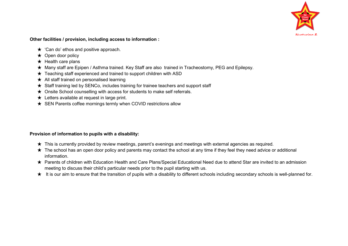

#### **Other facilities / provision, including access to information :**

- ★ 'Can do' ethos and positive approach.
- ★ Open door policy
- $\star$  Health care plans
- ★ Many staff are Epipen / Asthma trained. Key Staff are also trained in Tracheostomy, PEG and Epilepsy.
- ★ Teaching staff experienced and trained to support children with ASD
- $\star$  All staff trained on personalised learning
- ★ Staff training led by SENCo, includes training for trainee teachers and support staff
- ★ Onsite School counselling with access for students to make self referrals.
- $\star$  Letters available at request in large print.
- ★ SEN Parents coffee mornings termly when COVID restrictions allow

### **Provision of information to pupils with a disability:**

- ★ This is currently provided by review meetings, parent's evenings and meetings with external agencies as required.
- $\star$  The school has an open door policy and parents may contact the school at any time if they feel they need advice or additional information.
- ★ Parents of children with Education Health and Care Plans/Special Educational Need due to attend Star are invited to an admission meeting to discuss their child's particular needs prior to the pupil starting with us.
- ★ It is our aim to ensure that the transition of pupils with a disability to different schools including secondary schools is well-planned for.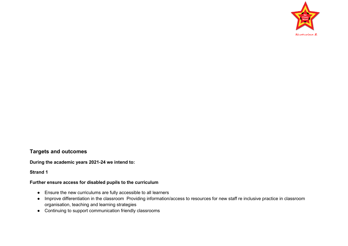

## **Targets and outcomes**

**During the academic years 2021-24 we intend to:** 

#### **Strand 1**

#### **Further ensure access for disabled pupils to the curriculum**

- Ensure the new curriculums are fully accessible to all learners
- Improve differentiation in the classroom Providing information/access to resources for new staff re inclusive practice in classroom organisation, teaching and learning strategies
- Continuing to support communication friendly classrooms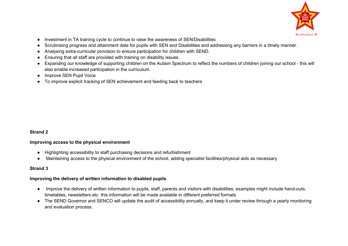

- Investment in TA training cycle to continue to raise the awareness of SEN/Disabilities
- Scrutinising progress and attainment data for pupils with SEN and Disabilities and addressing any barriers in a timely manner.
- Analysing extra-curricular provision to ensure participation for children with SEND.
- Ensuring that all staff are provided with training on disability issues.
- Expanding our knowledge of supporting children on the Autism Spectrum to reflect the numbers of children joining our school this will also enable increased participation in the curriculum.
- Improve SEN Pupil Voice
- To improve explicit tracking of SEN achievement and feeding back to teachers

### **Strand 2**

### **Improving access to the physical environment**

- Highlighting accessibility to staff purchasing decisions and refurbishment
- Maintaining access to the physical environment of the school, adding specialist facilities/physical aids as necessary

### **Strand 3**

### **Improving the delivery of written information to disabled pupils**

- Improve the delivery of written information to pupils, staff, parents and visitors with disabilities; examples might include hand-outs, timetables, newsletters etc. this information will be made available in different preferred formats
- The SEND Governor and SENCO will update the audit of accessibility annually, and keep it under review through a yearly monitoring and evaluation process.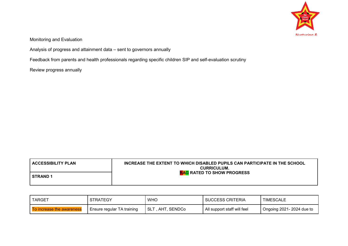

Monitoring and Evaluation

Analysis of progress and attainment data – sent to governors annually

Feedback from parents and health professionals regarding specific children SIP and self-evaluation scrutiny

Review progress annually

| <b>ACCESSIBILITY PLAN</b> | INCREASE THE EXTENT TO WHICH DISABLED PUPILS CAN PARTICIPATE IN THE SCHOOL<br><b>CURRICULUM.</b> |
|---------------------------|--------------------------------------------------------------------------------------------------|
| I STRAND 1                | <b>RAG RATED TO SHOW PROGRESS</b>                                                                |

| TARGET                    | <b>STRATEGY</b>            | <b>WHO</b>        | <b>SUCCESS CRITERIA</b>     | TIMESCALE                |
|---------------------------|----------------------------|-------------------|-----------------------------|--------------------------|
| To increase the awareness | Ensure regular TA training | SLT , AHT, SENDCo | All support staff will feel | Ongoing 2021-2024 due to |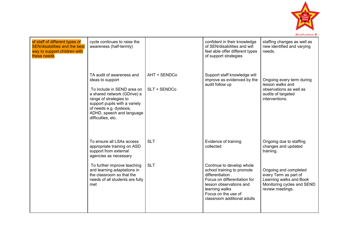

| of staff of different types of<br><b>SEN/disabilities and the best</b><br>way to support children with<br>these needs | cycle continues to raise the<br>awareness (half-termly)                                                                                                                                                                                             |                              | confident in their knowledge<br>of SEN/disabilities and will<br>feel able offer different types<br>of support strategies                                                                                       | staffing changes as well as<br>new identified and varying<br>needs.                                                         |
|-----------------------------------------------------------------------------------------------------------------------|-----------------------------------------------------------------------------------------------------------------------------------------------------------------------------------------------------------------------------------------------------|------------------------------|----------------------------------------------------------------------------------------------------------------------------------------------------------------------------------------------------------------|-----------------------------------------------------------------------------------------------------------------------------|
|                                                                                                                       | TA audit of awareness and<br>ideas to support<br>To include in SEND area on<br>a shared network (GDrive) a<br>range of strategies to<br>support pupils with a variety<br>of needs e.g. dyslexia,<br>ADHD, speech and language<br>difficulties, etc. | AHT + SENDCo<br>SLT + SENDCo | Support staff knowledge will<br>improve as evidenced by the<br>audit follow up                                                                                                                                 | Ongoing every term during<br>lesson walks and<br>observations as well as<br>audits of targeted<br>interventions.            |
|                                                                                                                       | To ensure all LSAs access<br>appropriate training on ASD<br>support from external<br>agencies as necessary                                                                                                                                          | <b>SLT</b>                   | Evidence of training<br>collected                                                                                                                                                                              | Ongoing due to staffing<br>changes and updated<br>training.                                                                 |
|                                                                                                                       | To further improve teaching<br>and learning adaptations in<br>the classroom so that the<br>needs of all students are fully<br>met                                                                                                                   | <b>SLT</b>                   | Continue to develop whole<br>school training to promote<br>differentiation.<br>Focus on differentiation for<br>lesson observations and<br>learning walks<br>Focus on the use of<br>classroom additional adults | Ongoing and completed<br>every Term as part of<br>Learning walks and Book<br>Monitoring cycles and SEND<br>review meetings. |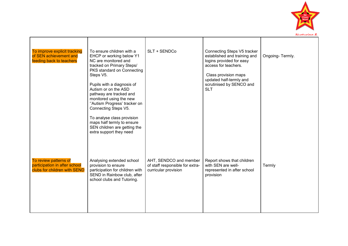

| To improve explicit tracking<br>of SEN achievement and<br>feeding back to teachers     | To ensure children with a<br>EHCP or working below Y1<br>NC are monitored and<br>tracked on Primary Steps/<br>PKS standard on Connecting<br>Steps V5.<br>Pupils with a diagnosis of<br>Autism or on the ASD<br>pathway are tracked and<br>monitored using the new<br>"Autism Progress' tracker on<br>Connecting Steps V5.<br>To analyse class provision<br>maps half termly to ensure<br>SEN children are getting the<br>extra support they need | SLT + SENDCo                                                                      | Connecting Steps V5 tracker<br>established and training and<br>logins provided for easy<br>access for teachers.<br>Class provision maps<br>updated half-termly and<br>scrutinised by SENCO and<br><b>SLT</b> | Ongoing-Termly. |
|----------------------------------------------------------------------------------------|--------------------------------------------------------------------------------------------------------------------------------------------------------------------------------------------------------------------------------------------------------------------------------------------------------------------------------------------------------------------------------------------------------------------------------------------------|-----------------------------------------------------------------------------------|--------------------------------------------------------------------------------------------------------------------------------------------------------------------------------------------------------------|-----------------|
| To review patterns of<br>participation in after school<br>clubs for children with SEND | Analysing extended school<br>provision to ensure<br>participation for children with<br>SEND in Rainbow club, after<br>school clubs and Tutoring.                                                                                                                                                                                                                                                                                                 | AHT, SENDCO and member<br>of staff responsible for extra-<br>curricular provision | Report shows that children<br>with SEN are well-<br>represented in after school<br>provision                                                                                                                 | Termly          |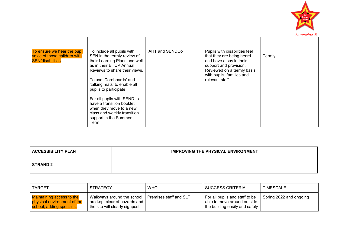

| To ensure we hear the pupil<br>voice of those children with<br><b>SEN/disabilities</b> | To include all pupils with<br>SEN in the termly review of<br>their Learning Plans and well<br>as in their EHCP Annual<br>Reviews to share their views.<br>To use 'Coreboards' and<br>'talking mats' to enable all<br>pupils to participate<br>For all pupils with SEND to | AHT and SENDCo | Pupils with disabilities feel<br>that they are being heard<br>and have a say in their<br>support and provision.<br>Reviewed on a termly basis<br>with pupils, families and<br>relevant staff. | Termly |
|----------------------------------------------------------------------------------------|---------------------------------------------------------------------------------------------------------------------------------------------------------------------------------------------------------------------------------------------------------------------------|----------------|-----------------------------------------------------------------------------------------------------------------------------------------------------------------------------------------------|--------|
|                                                                                        | have a transition booklet<br>when they move to a new<br>class and weekly transition<br>support in the Summer<br>Term.                                                                                                                                                     |                |                                                                                                                                                                                               |        |

| <b>ACCESSIBILITY PLAN</b> | <b>IMPROVING THE PHYSICAL ENVIRONMENT</b> |
|---------------------------|-------------------------------------------|
| <b>STRAND 2</b>           |                                           |

| <b>TARGET</b>                                                                                | <b>STRATEGY</b>                                                                                                        | <b>WHO</b> | <b>SUCCESS CRITERIA</b>                                                                           | TIMESCALE               |
|----------------------------------------------------------------------------------------------|------------------------------------------------------------------------------------------------------------------------|------------|---------------------------------------------------------------------------------------------------|-------------------------|
| <b>Maintaining access to the</b><br>physical environment of the<br>school, adding specialist | Walkways around the school   Premises staff and SLT<br>are kept clear of hazards and<br>the site will clearly signpost |            | For all pupils and staff to be<br>able to move around outside<br>I the building easily and safely | Spring 2022 and ongoing |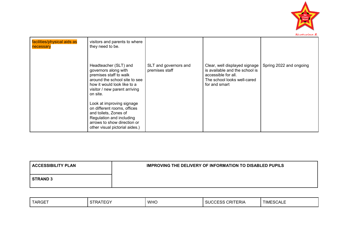

| facilities/physical aids as<br>necessary | visitors and parents to where<br>they need to be.                                                                                                                                    |                                         |                                                                                                                                        |                         |
|------------------------------------------|--------------------------------------------------------------------------------------------------------------------------------------------------------------------------------------|-----------------------------------------|----------------------------------------------------------------------------------------------------------------------------------------|-------------------------|
|                                          | Headteacher (SLT) and<br>governors along with<br>premises staff to walk<br>around the school site to see<br>how it would look like to a<br>visitor / new parent arriving<br>on site. | SLT and governors and<br>premises staff | Clear, well displayed signage<br>is available and the school is<br>accessible for all.<br>The school looks well-cared<br>for and smart | Spring 2022 and ongoing |
|                                          | Look at improving signage<br>on different rooms, offices<br>and toilets, Zones of<br>Regulation and including<br>arrows to show direction or<br>other visual pictorial aides.)       |                                         |                                                                                                                                        |                         |

| <b>ACCESSIBILITY PLAN</b> | <b>IMPROVING THE DELIVERY OF INFORMATION TO DISABLED PUPILS</b> |
|---------------------------|-----------------------------------------------------------------|
| <b>STRAND 3</b>           |                                                                 |

| <b>TARGET</b> | יים-<br>. ت | <b>WHC</b> | . ור<br>$\sim$ $\sim$<br><b>AA</b><br>ERIA<br>. | TIME<br>OUALE |
|---------------|-------------|------------|-------------------------------------------------|---------------|
|---------------|-------------|------------|-------------------------------------------------|---------------|